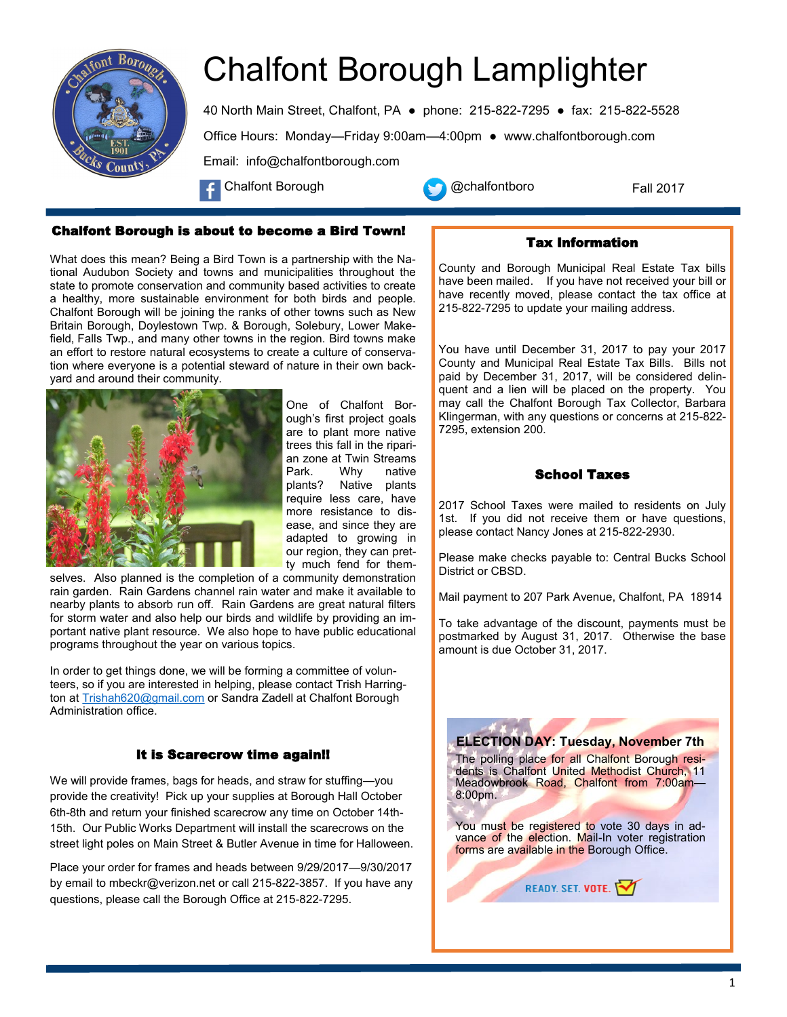

# Chalfont Borough Lamplighter

40 North Main Street, Chalfont, PA ● phone: 215-822-7295 ● fax: 215-822-5528 Office Hours: Monday—Friday 9:00am—4:00pm ● www.chalfontborough.com Email: info@chalfontborough.com

Chalfont Borough **Chalfontboro** 



What does this mean? Being a Bird Town is a partnership with the National Audubon Society and towns and municipalities throughout the state to promote conservation and community based activities to create a healthy, more sustainable environment for both birds and people. Chalfont Borough will be joining the ranks of other towns such as New Britain Borough, Doylestown Twp. & Borough, Solebury, Lower Makefield, Falls Twp., and many other towns in the region. Bird towns make an effort to restore natural ecosystems to create a culture of conservation where everyone is a potential steward of nature in their own backyard and around their community.



One of Chalfont Borough's first project goals are to plant more native trees this fall in the riparian zone at Twin Streams Park. Why native plants? Native plants require less care, have more resistance to disease, and since they are adapted to growing in our region, they can pretty much fend for them-

selves. Also planned is the completion of a community demonstration rain garden. Rain Gardens channel rain water and make it available to nearby plants to absorb run off. Rain Gardens are great natural filters for storm water and also help our birds and wildlife by providing an important native plant resource. We also hope to have public educational programs throughout the year on various topics.

In order to get things done, we will be forming a committee of volunteers, so if you are interested in helping, please contact Trish Harring-ton at [Trishah620@gmail.com](mailto:Trishah620@gmail.com) or Sandra Zadell at Chalfont Borough Administration office.

## It is Scarecrow time again!!

We will provide frames, bags for heads, and straw for stuffing—you provide the creativity! Pick up your supplies at Borough Hall October 6th-8th and return your finished scarecrow any time on October 14th-15th. Our Public Works Department will install the scarecrows on the street light poles on Main Street & Butler Avenue in time for Halloween.

Place your order for frames and heads between 9/29/2017—9/30/2017 by email to mbeckr@verizon.net or call 215-822-3857. If you have any questions, please call the Borough Office at 215-822-7295.



Tax Information

Fall 2017

County and Borough Municipal Real Estate Tax bills have been mailed. If you have not received your bill or have recently moved, please contact the tax office at 215-822-7295 to update your mailing address.

You have until December 31, 2017 to pay your 2017 County and Municipal Real Estate Tax Bills. Bills not paid by December 31, 2017, will be considered delinquent and a lien will be placed on the property. You may call the Chalfont Borough Tax Collector, Barbara Klingerman, with any questions or concerns at 215-822- 7295, extension 200.

## School Taxes

2017 School Taxes were mailed to residents on July 1st. If you did not receive them or have questions, please contact Nancy Jones at 215-822-2930.

Please make checks payable to: Central Bucks School District or CBSD.

Mail payment to 207 Park Avenue, Chalfont, PA 18914

To take advantage of the discount, payments must be postmarked by August 31, 2017. Otherwise the base amount is due October 31, 2017.

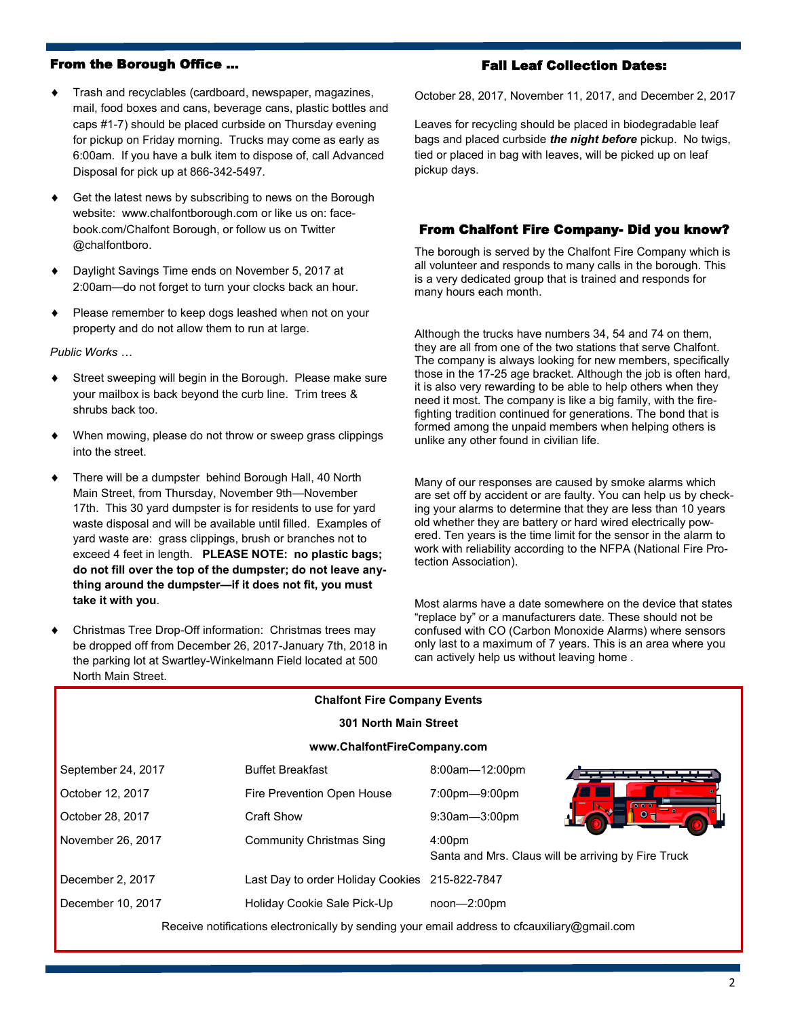## From the Borough Office …

- Trash and recyclables (cardboard, newspaper, magazines, mail, food boxes and cans, beverage cans, plastic bottles and caps #1-7) should be placed curbside on Thursday evening for pickup on Friday morning. Trucks may come as early as 6:00am. If you have a bulk item to dispose of, call Advanced Disposal for pick up at 866-342-5497.
- Get the latest news by subscribing to news on the Borough website: www.chalfontborough.com or like us on: facebook.com/Chalfont Borough, or follow us on Twitter @chalfontboro.
- Daylight Savings Time ends on November 5, 2017 at 2:00am—do not forget to turn your clocks back an hour.
- Please remember to keep dogs leashed when not on your property and do not allow them to run at large.

*Public Works …*

- Street sweeping will begin in the Borough. Please make sure your mailbox is back beyond the curb line. Trim trees & shrubs back too.
- When mowing, please do not throw or sweep grass clippings into the street.
- There will be a dumpster behind Borough Hall, 40 North Main Street, from Thursday, November 9th—November 17th. This 30 yard dumpster is for residents to use for yard waste disposal and will be available until filled. Examples of yard waste are: grass clippings, brush or branches not to exceed 4 feet in length. **PLEASE NOTE: no plastic bags; do not fill over the top of the dumpster; do not leave anything around the dumpster—if it does not fit, you must take it with you**.
- Christmas Tree Drop-Off information: Christmas trees may be dropped off from December 26, 2017-January 7th, 2018 in the parking lot at Swartley-Winkelmann Field located at 500 North Main Street.

## Fall Leaf Collection Dates:

October 28, 2017, November 11, 2017, and December 2, 2017

Leaves for recycling should be placed in biodegradable leaf bags and placed curbside *the night before* pickup. No twigs, tied or placed in bag with leaves, will be picked up on leaf pickup days.

## From Chalfont Fire Company- Did you know?

The borough is served by the Chalfont Fire Company which is all volunteer and responds to many calls in the borough. This is a very dedicated group that is trained and responds for many hours each month.

Although the trucks have numbers 34, 54 and 74 on them, they are all from one of the two stations that serve Chalfont. The company is always looking for new members, specifically those in the 17-25 age bracket. Although the job is often hard, it is also very rewarding to be able to help others when they need it most. The company is like a big family, with the firefighting tradition continued for generations. The bond that is formed among the unpaid members when helping others is unlike any other found in civilian life.

Many of our responses are caused by smoke alarms which are set off by accident or are faulty. You can help us by checking your alarms to determine that they are less than 10 years old whether they are battery or hard wired electrically powered. Ten years is the time limit for the sensor in the alarm to work with reliability according to the NFPA (National Fire Protection Association).

Most alarms have a date somewhere on the device that states "replace by" or a manufacturers date. These should not be confused with CO (Carbon Monoxide Alarms) where sensors only last to a maximum of 7 years. This is an area where you can actively help us without leaving home .

| <b>Chalfont Fire Company Events</b>                                                          |                                   |                                                                           |
|----------------------------------------------------------------------------------------------|-----------------------------------|---------------------------------------------------------------------------|
| <b>301 North Main Street</b>                                                                 |                                   |                                                                           |
| www.ChalfontFireCompany.com                                                                  |                                   |                                                                           |
| September 24, 2017                                                                           | <b>Buffet Breakfast</b>           | 8:00am-12:00pm                                                            |
| October 12, 2017                                                                             | Fire Prevention Open House        | 7:00pm-9:00pm                                                             |
| October 28, 2017                                                                             | Craft Show                        | $9:30$ am $-3:00$ pm                                                      |
| November 26, 2017                                                                            | <b>Community Christmas Sing</b>   | 4:00 <sub>pm</sub><br>Santa and Mrs. Claus will be arriving by Fire Truck |
| December 2, 2017                                                                             | Last Day to order Holiday Cookies | 215-822-7847                                                              |
| December 10, 2017                                                                            | Holiday Cookie Sale Pick-Up       | $noon - 2:00pm$                                                           |
| Receive notifications electronically by sending your email address to cfcauxiliary@gmail.com |                                   |                                                                           |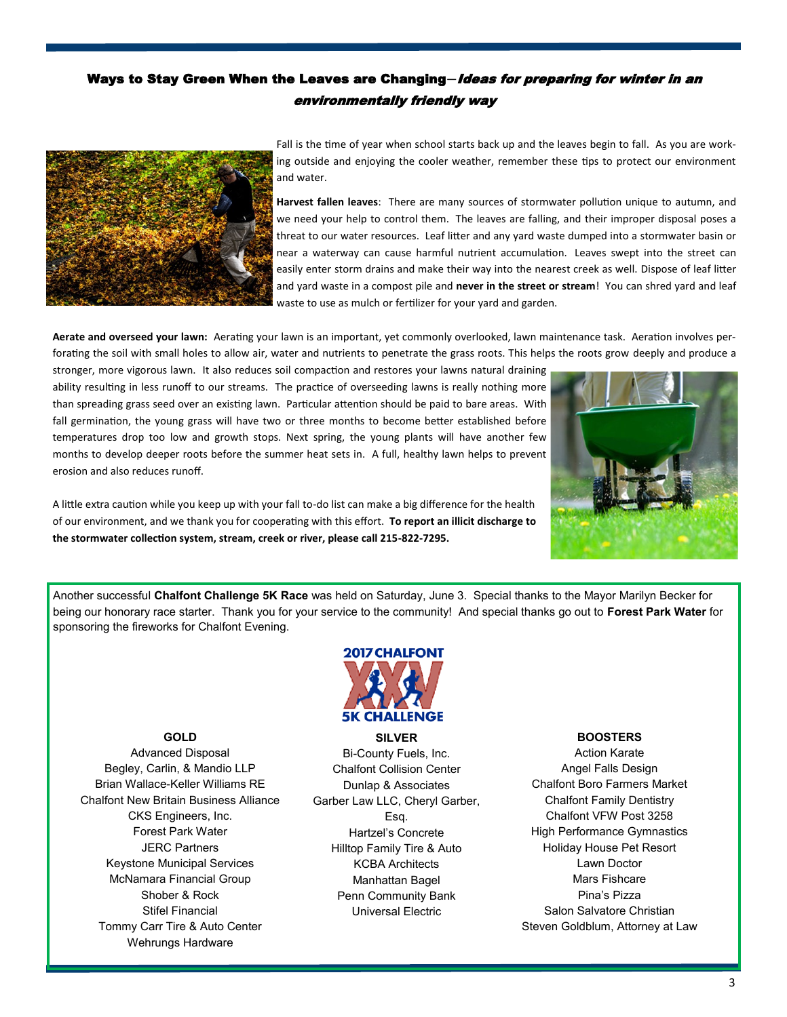## Ways to Stay Green When the Leaves are Changing**—**Ideas for preparing for winter in an environmentally friendly way



Fall is the time of year when school starts back up and the leaves begin to fall. As you are working outside and enjoying the cooler weather, remember these tips to protect our environment and water.

**Harvest fallen leaves**: There are many sources of stormwater pollution unique to autumn, and we need your help to control them. The leaves are falling, and their improper disposal poses a threat to our water resources. Leaf litter and any yard waste dumped into a stormwater basin or near a waterway can cause harmful nutrient accumulation. Leaves swept into the street can easily enter storm drains and make their way into the nearest creek as well. Dispose of leaf litter and yard waste in a compost pile and **never in the street or stream**! You can shred yard and leaf waste to use as mulch or fertilizer for your yard and garden.

**Aerate and overseed your lawn:** Aerating your lawn is an important, yet commonly overlooked, lawn maintenance task. Aeration involves perforating the soil with small holes to allow air, water and nutrients to penetrate the grass roots. This helps the roots grow deeply and produce a

stronger, more vigorous lawn. It also reduces soil compaction and restores your lawns natural draining ability resulting in less runoff to our streams. The practice of overseeding lawns is really nothing more than spreading grass seed over an existing lawn. Particular attention should be paid to bare areas. With fall germination, the young grass will have two or three months to become better established before temperatures drop too low and growth stops. Next spring, the young plants will have another few months to develop deeper roots before the summer heat sets in. A full, healthy lawn helps to prevent erosion and also reduces runoff.



A little extra caution while you keep up with your fall to-do list can make a big difference for the health of our environment, and we thank you for cooperating with this effort. **To report an illicit discharge to the stormwater collection system, stream, creek or river, please call 215-822-7295.**

Another successful **Chalfont Challenge 5K Race** was held on Saturday, June 3. Special thanks to the Mayor Marilyn Becker for being our honorary race starter. Thank you for your service to the community! And special thanks go out to **Forest Park Water** for sponsoring the fireworks for Chalfont Evening.



**GOLD**  Advanced Disposal Begley, Carlin, & Mandio LLP Brian Wallace-Keller Williams RE Chalfont New Britain Business Alliance CKS Engineers, Inc. Forest Park Water JERC Partners Keystone Municipal Services McNamara Financial Group Shober & Rock Stifel Financial Tommy Carr Tire & Auto Center Wehrungs Hardware

**SILVER**  Bi-County Fuels, Inc. Chalfont Collision Center Dunlap & Associates Garber Law LLC, Cheryl Garber, Esq. Hartzel's Concrete Hilltop Family Tire & Auto KCBA Architects Manhattan Bagel Penn Community Bank Universal Electric

### **BOOSTERS**

Action Karate Angel Falls Design Chalfont Boro Farmers Market Chalfont Family Dentistry Chalfont VFW Post 3258 High Performance Gymnastics Holiday House Pet Resort Lawn Doctor Mars Fishcare Pina's Pizza Salon Salvatore Christian Steven Goldblum, Attorney at Law